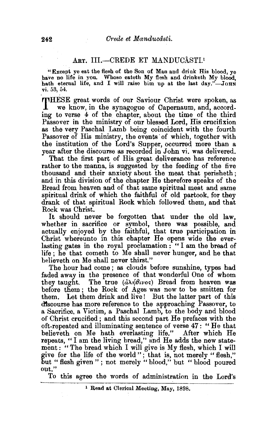# ART. III.-CREDE ET MANDUCÂSTI.<sup>1</sup>

"Except ye eat the flesh of the Son of Man and drink His blood, ye have no life in yon. Whoso eateth My flesh and drinketh My blood, hath eternal life, and I will raise him up at the last day."-JOHN vi. 53, 54.

THESE great words of our Saviour Christ were spoken, as we know, in the synagogue of Oapernaum, and, according to verse 4 of the. chapter, about the time of the third Passover in the ministry of our blessed Lord, His crucifixion as the very Paschal Lamb being coincident with the fourth Passover of His ministry, the events of which, together with the institution of the Lord's Supper, occurred more than a year after the discourse as recorded in John vi. was delivered.

That the first part of His great deliverance has reference rather to the manna, is suggested by the feeding of the five thousand and their anxiety about the meat that perisheth; and in this division of the chapter He therefore speaks of the Bread from heaven and of that same spiritual meat and same spiritual drink of which the faithful of old partook, for they drank of that spiritual Rock which followed them, and that Rock was Christ.

It should never be forgotten that under the old law, whether in sacrifice or symbol, there was possible, and actually enjoyed by the faithful, that true participation in Christ whereunto in this chapter He opens wide the everlasting gates in the royal proclamation : " I am the bread of life ; he that cometh to Me shall never hunger, and he that believeth on Me shall never thirst."

The hour had come ; as clouds before sunshine, types had faded away in the presence of that wonderful One of whom they taught. The true  $(\partial \lambda \hat{\eta} \theta \nu \hat{\sigma})$  Bread from heaven was before them ; the Rock of Ages was now to be smitten for them. Let them drink and live! But the latter part of this dtscourse has more reference to the approaching Passover, to a Sacrifice, a Victim, a Paschal Lamb, to the body and blood of Christ crucified ; and this second part He prefaces with the oft-repeated and illuminating sentence of verse 47: "He that believeth on Me hath everlasting life." After which He repeats, "I am the living bread," and He adds the new statement: "The bread which I will give is My flesh, which I will give for the life of the world " ; that is, not merely " flesh," but " flesh given "; not merely " blood," but " blood poured out."

To this agree the words of administration in the Lord's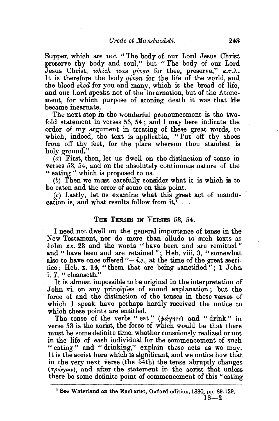Supper, which are not "The body of our Lord Jesus Christ preserve thy body and soul," but "The body of our Lord Jesus Christ, *which was given* for thee, preserve,"  $\kappa$ . It is therefore the body *given* for the life of the world, and the blood *shed* for you and many, which is the bread of life, and our Lord speaks not of the Incarnation, but of the Atonement, for which purpose of atoning death it was that He became incarnate.

The next step in the wonderful pronouncement is the twofold statement in verses 53, 54 ; and I may here indicate the order of my argument in treating of these great words, to which, indeed, the text is applicable, "Put off thy shoes from off thy feet, for the place whereon thou standest is holy ground."

 $(a)$  First, then, let us dwell on the distinction of tense in verses 53, 54, and on the absolutely continuous nature of the "eating" which is proposed to us.

(b) Then we must carefully consider what it is which is to be eaten and the error of some on this point.

*(c)* Lastly; let us examine what this great act of manducation is, and what results follow from it.1

#### THE TENSES IN VERSES 53, 54.

I need not dwell on the general importance of tense in the New Testament, nor do more than allude to such texts as John xx. 23 and the words "have been and are remitted" and "have been and are retained"; Heb. viii. 3, "somewhat also to have once offered  $\ddot{\,}$ -*i.e.*, at the time of the great sacrifice; Heb. x. 14, "them that are being sanctified"; 1 John i. 7, "cleanseth."

It is almost impossible to be original in the interpretation of John vi. on any principles of sound explanation; but the force of and the distinction of the tenses in these verses of which I speak have perhaps hardly received the notice to which these points are entitled.

The tense of the verbs "eat"  $(\phi d\gamma \eta \tau \epsilon)$  and "drink" in verse 53 is the aorist, the force of which would be that there must be some definite time, whether consciously realized or not in the life of each individual for the commencement of such " eating" and " drinking," explain these acts as we may. It is the aorist here which is sigmficant, and we notice how that in the very next verse (the 54th) the tense abruptly changes  $(\tau \rho \omega \gamma \omega \nu)$ , and after the statement in the aorist that unless there be some definite point of commencement of this "eating

<sup>&</sup>lt;sup>1</sup> See Waterland on the Eucharist, Oxford edition, 1880, pp. 89-129.  $18 - 2$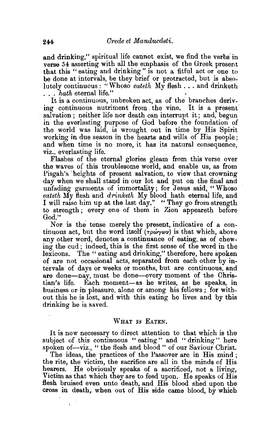and drinking," spiritual life cannot exist, we find the verbs in verse 54 asserting with all the emphasis of the Greek present that this "eating and drinking" is not a fittul act or one to be done at intervals, be they brief or protracted, but is absolutely continuous: "Whoso eateth My flesh... and drinketh ... *hath* eternal life."<br>It is a continuous, unbroken act, as of the branches deriv-

ing continuous nutriment from . the vine. It is a present salvation ; neither life nor death can interrupt it; and, begun in the everlasting purpose of God before the foundation of the world was laid, is wrought out in time by His Spirit working in due season in the hearts and wills of His people ; and when time is no more, it has its natural consequence, viz., everlasting life.

Flashes of the eternal glories gleam from this verse over the waves of this troublesome world, and enable us, as from Pisgah's' heights of present salvation, to view that crowning day when we shall stand in our lot and put on the final and unfading garments of immortality; for Jesus said, "Whoso *eateth* My flesh and *drinketh* My blood hath eternal life, and I will raise him up at the last day." "They go from strength to strength ; every one of them in Zion appeareth before God."

Nor is the tense merely the present, indicative of a continuous act, but the word itself  $(\tau \rho \omega \gamma \omega \nu)$  is that which, above any other word, denotes a continuance of eating, as of chewing the cud; indeed, this is the first sense of the word in the lexicons. The " eating and drinking," therefore, here spoken of are not occasional acts, separated from each other by intervals of days or weeks or months, but are continuous, and are done-nay, must be done-every moment of the Christian's life. Each moment-as he writes, as he speaks, in business or. in pleasure, alone or among his fellows ; for without this he is lost, and with this eating he lives and by this drinking he is saved.

#### WHAT IS EATEN.

It is now necessary to direct attention to that which is the subject of this continuous " eating" and " drinking" here spoken of—viz., " the flesh and blood " of our Saviour Christ.

The ideas, the practices of the Passover are in His mind ; the rite, the victim, the sacrifice are all in the minds of His hearers. He obviously speaks of a sacrificed, not a living, Victim as that which they are to feed upon. He speaks of His flesh bruised even unto death, and His blood shed upon the cross in death, when out of His side came blood, by which

¥,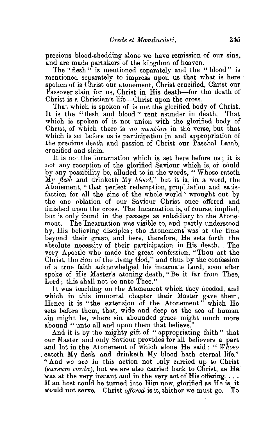precious blood-shedding alone we have remission of our sins. and are made partakers of the kingdom of heaven.

The "flesh" is mentioned separately and the "blood" is mentioned separately to impress upon us that what is here spoken of is Christ our atonement, Christ crucified, Christ our Passover slain for us, Christ in His death-for the death of Christ is a Christian's life-Christ upon the cross.

That which is spoken of is not the glorified body of Christ.<br>is the "flesh and blood" rent asymder in death. That It is the "flesh and blood" rent asunder in death. which is spoken of is not union with the glorified body of Christ, of which there is *no mention* in the verse, but that which is set before us is participation in and appropriation of the precious death and passion of Christ our Paschal Lamb, crucified and slain.

It is not the Incarnation which is set here before us ; it is not any reception of the glorified Saviour which is, or could by any possibility be, alluded to in the words, "Whoso eateth l\tly *flesh* and drinketh My *blood,"* but it is, in a word, the Atonement, " that perfect redemption, propitiation and satisfaction for all the sins of the whole world" wrought out by the one oblation of our Saviour Christ once offered and finished upon the cross. The Incarnation is, of course, implied, but is only found in the passage as subsidiary to the Atonement. The 'Incarnation was visible to, and partly understood by, His believing disciples; the Atonement was at the time beyond their grasp, and here, therefore, He sets forth the absolute necessity of their participation in His death. The very Apostle who made the great confession, "Thou art the Christ, the Son of the living God," and thus by the confession of a true faith acknowledged his incarnate Lord, soon after spoke of His Master's atoning death, ''Be it far from Thee, Lord; this shall not be unto Thee."

It was teaching on the Atonement which they needed, and which in this immortal chapter their Master gave them. Hence it is "the extension of the Atonement" which He sets before them, that, wide and deep as the sea of human sin might be, where sin abounded grace might much more abound " unto all and upon them that believe."

And it is by the mighty gift of " appropriating faith " that our Master and only Saviour provides for all believers a part and lot in the Atonement of which alone He said : " *Whoso*  eateth My flesh and drinketh My blood hath eternal life." "And we are in this action not only carried up to Christ *(sursum corda),* but we are also carried back to Christ, as He was at the very instant and in the very act of His offering.... 1f an host could be turned into Him now, glorified as He is, it would not serve. Christ *offered* is it, thither we must go. To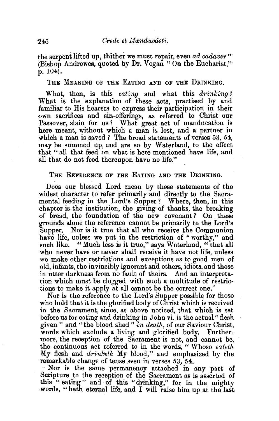the serpent lifted up, thither we must repair, even  $ad$  cadaver " (Bishop Andrewes, quoted by Dr. Vogan " On the Eucharist," p. 104}.

## THE MEANING OF THE EATING AND OF THE DRINKING.

What, then, is this *eating* and what this *drinking ?*  What is the explanation of these acts, practised by and familiar to His hearers to express their participation in their own sacrifices and sin-offermgs, as referred to Christ our Passover, slain for us? What great act of manducation is here meant, without which a man is lost, and a partner in which a man is saved ? The broad statements of verses 53, 54, may be summed up, and are so by Waterland, to the effect that "all that feed on what is here mentioned have life, and all that do not feed thereupon have no life."

### THE REFERENCE OF THE EATING AND THE DRINKING.

Does our blessed Lord mean by these statements of the widest character to refer primarily and directly to the Sacramental feeding in the Lord's Supper? Where, then, in this chapter is the institution, the giving of thanks, the breaking of bread, the foundation of the new covenant ? On these grounds alone the reference cannot be primarily to the Lord's Supper. Nor is it true that all who receive the Communion have life, unless we put in the restriction of "worthy," and such like. "Much less is it true," says Waterland, "that all who never have or never shall receive it have not life, unless we make other restrictions and exceptions as to good men of old, infants, the invincibly ignorant and others, idiots, and those in utter darkness from no fault of theirs. And an interpretation which must be clogged with such a multitude of restrictions to make it apply at all cannot be the correct one."

Nor is the reference to the Lord's Supper possible for those who hold that it is the glorified body of Christ which is received in the Sacrament, since, as above noticed, that which is set before us for eating and drinking in John vi. is the actual "flesh given " and "the blood shed " *in death,* of our Saviour Christ, words which exclude a living and glorified body. Furthermore, the reception of the Sacrament is not, and cannot be, the continuous act referred to in the words, " Whoso *eateth*  My flesh and *drinketh* My blood," and emphasized by the remarkable change of tense seen in verses 53, 54.

··Nor is the same permanency attached in any part of Scripture to the reception of the Sacrament as is asserted of this " eating" and of this "drinking," for in the mighty words, "hath eternal life, and I will raise him up at the last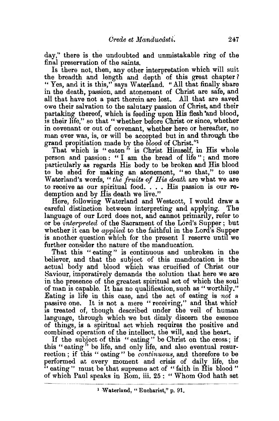day," there is the undoubted and unmistakable ring of the final preservation of the saints.

Is there not, then, any other interpretation which will suit the breadth and length and depth of this great chapter? "Yes, and it is this," says Waterland. "All that finally share in the death, passion, and atonement of Christ are safe, and all that have not a part therein are lost. All that are saved owe their salvation to the salutary passion of Christ, and their partaking thereof, which is feeding upon His flesh and blood, is their life," so that "whether before Christ or since, whether in covenant or out of covenant, whether here or hereafter, no man ever was, is, or will be accepted but in and through the grand propitiation made by the *blood* of Christ."<sup>1</sup>

That which is "eaten" is Christ Himself, in His whole person and passion: "I am the bread of life"; and more particularly as regards His body to be broken and His blood to be shed for making an atonement, "so that," to use Waterland's words, " the *fruits of His death* are what we are to receive as our spiritual food. . . . His passion is our redemption and by His death we live."

Here, following Waterland and Westcott, I would draw a careful distinction between interpreting and applying. The language of our Lord does not, and cannot primarily, refer to or be *interpreted* of the Sacrament of the Lord's Supper; but whether it can be *applied* to the faithful in the Lord's Supper is another question which for the present I reserve until we further consider the nature of the manducation.

That this "eating" is continuous and unbroken in the believer, and that the subject of this manducation is the actual body and blood which was crucified of Christ our Saviour, imperatively demands the solution that here we are in the presence of the greatest spiritual act of which the soul of man is capable. It has no qualification, such as "worthily." Eating is life in this case, and the act of eating is *not* a passive one. It is not a mere "receiving," and that which is treated of, though described under the veil of human language, through which we but dimly discern the essence of things, is a spiritual act which requires the positive and combined operation of the intellect, the will, and the heart.

If the subject of this "eating" be Christ on the cross; if this "eating" be life, and only life, and also eventual resurrection ; if this " eating" be *continuous,* and therefore to be performed at every moment and crisis of daily life, the " eating" must be that supreme act of " faith in His blood" of which Paul speaks in Rom. iii. 25 : " Whom God hath set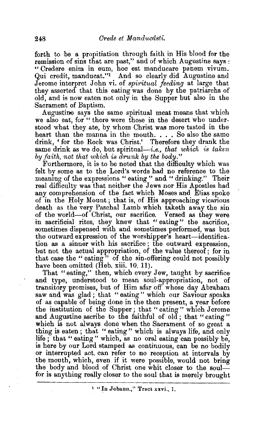forth to be a propitiation through faith in His blood for the remission of sins that are past," and of which Augustine says : " Credere enim in eum, hoc est manducare panem vivum. Qui credit, manducat."1 And so clearly did Augustine and Jerome interpret John vi. of *spiritual feeding* at large that they asserted that this eating was done by the patriarchs of old, and is now eaten not only in the Supper but also in the

Sacrament of Baptism.<br>Augustine says the same spiritual meat means that which we also eat, for "there were those in the desert who understood what they ate, by whom Christ was more tasted in the heart than the manna in the mouth. . . . So also the same drink, ' for the Rock was Christ.' Therefore they drank the same drink as we do, but spiritual—*i.e.*, *that which is taken* by *faith, not that which is drunk by the body."* 

Furthermore, it is to be noted that the difficulty which was felt by some as to the Lord's words had no reference to the meaning of the expressions '' eating " and " drinking." Their real difficulty was that neither the Jews nor His Apostles had any comprehension of the fact which Moses and Elias spoke of in the Holy Mount; that is, of His approaching vicarious death as the very Paschal Lamb which taketh away the sin of the world-of Christ, our sacrifice. Versed as they were<br>in sacrificial rites, they knew that "eating" the sacrifice. sometimes dispensed with and sometimes performed, was but the outward expression of the worshipper's heart-identification as a sinner with his sacrifice ; the outward expression, but not the actual appropriation, of the value thereof; for in that case the "eating" of the sin-offering could not possibly have been omitted (Heb. xiii. 10, 11).

That "eating," then, which every Jew, taught by sacrifice and type, understood to mean soul-appropriation, not of transitory promises, but of Him afar off whose day Abraham saw and was glad; that "eating" which our Saviour speaks of as capable of being done in the then present, a year before the institution of the Supper; that "eating" which Jerome and Augustine ascribe to the faithful of old; that "eating" which is not always done when the Sacrament of so great a thing is eaten; that "eating" which is always life, and only life ; that " eating" which, as no oral eating can possibly be, is here by our Lord stamped as continuous, can be no bodily or interrupted act, can refer to no reception at intervals by the mouth, which, even if it were possible, would not bring the body and blood of Christ one whit closer to the soulfor is anything really closer to the soul that is merely brought

<sup>&</sup>lt;sup>1</sup> "In Johann.," Tract xxvi., 1.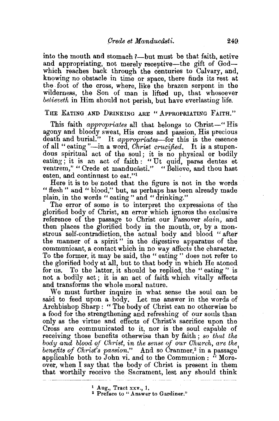into the mouth and stomach ?—but must be that faith, active and appropriating, not merely receptive—the gift of Godwhich reaches back through the centuries to Calvary, and, knowing no obstacle in time or space, there finds its rest at the foot of the cross, where, like the brazen serpent in the wilderness, the Son of man is lifted up, that whosoever *believeth* in Him should not perish, but have everlasting life.

THE EATING AND DRINKING ARE "APPROPRIATING FAITH."

This faith *appropriates* all that belongs to Christ-" His agony and bloody sweat, His cross and passion, His precious death and burial." It *appropriates-for* this is the essence of all "eating "-in a word, *Ohrist crucified.* It is a stupendous spiritual act of the soul; it is no physical or bodily eating; it is an act of faith : "Ut quid, paras dentes et ventrem," "Crede et manducâsti." "Believe, and thou hast eaten, and continuest to eat."<sup>1</sup>

Here it is to be noted that the figure is not in the words " flesh " and " blood," but, as perhaps has been already made plain, in the words " eating" and "drinking."

The error of some is to interpret the expressions of the glorified body of Christ, an error which ignores the exclusive reference of the passage to Christ our Passover *slain,* and then places the glorified body in the mouth, or, by a monstrous self-contradiction, the actual body and blood " after the manner of a spirit" in the digestive apparatus of the communicant, a contact which in no way affects the character. To the former, it may be said, the " eating " does not refer to the glorified body at all, but to that body in which He atoned. for us. To the latter, it should be replied, the "eating" is not a bodily act; it is an act of faith which vitally affects and transforms the whole moral nature.

We must further inquire in what sense the soul can be said to feed upon a body. Let me answer in the words of Archbishop Sharp : " The body of Christ can no otherwise be a food for the strengthening and refreshing of our souls than only as the virtue and effects of Christ's sacrifice upon the Cross are communicated to it, nor is the soul capable of receiving those benefits otherwise than by faith ; *so that the body and blood of Christ, in the sense of our Church, are the* benefits of Christ's passion." And so Cranmer,<sup>3</sup> in a passage' applicable both to John vi. and to the Communion: "Moreover, when I say that the body of Christ is present in them that worthily receive the Sacrament, lest any should think

<sup>1</sup> Aug., Tract xxv., 1.<br><sup>2</sup> Preface to "Answer to Gardiner."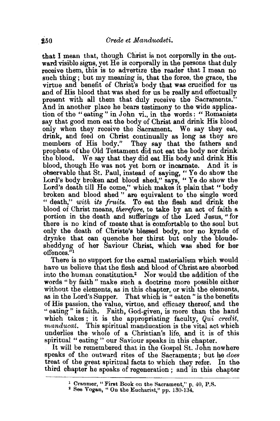that I mean that, though Christ is not corporally in the outward visible signs, yet He is corporally in the persons that duly receive them, this is to advertize the reader that I mean no such thing; but my meaning is, that the force, the grace, the virtue and benefit of Christ's body that was crucified for us and of His blood that was shed for us be really and effectually present with all them that duly receive the Sacraments." And in another place he bears testimony to the wide application of the " eating " in John vi., in the words : " Romanists say that good men eat the body of Christ and drink His blood only when they receive the Sacrament. We say they eat, drink, and feed on Christ continually as long as they are members of His body." They say that the fathers and prophets of the Old Testament did not eat the body nor drink the blood. We say that they did eat His body and drink His blood, though He was not yet born or incarnate. And it is observable that St. Paul, instead of saying, " Ye do show the Lord's body broken and blood shed," says, " Ye do show the Lord's death till He come," which makes it plain that " body broken and blood shed" are equivalent to the single word " death," *with its fruits.* To eat the flesh and drink the blood of Christ means, *therefore,* to take by an act of faith a portion in the death and sufferings of the Lord Jesus, " for there is no kind of meate that is comfortable to the soul but only the death of Christa's blessed body, nor no kynde of drynke that can quenche her thirst but only the bloudesheddyng of her Saviour Christ, which was shed for her offences.'

There is no support for the carnal materialism which would have us believe that the flesh and blood of Christ are absorbed into the human constitution.<sup>2</sup> Nor would the addition of the words " by faith" make such a doctrine more possible either without the elements, as in this chapter, or with the elements, as in the Lord's Supper. That which is "eaten" is the benefits of His passion, the value, virtue, and efficacy thereof, and the " eating" is faith. Faith, God-given, is more than the hand which takes : it is the appropriating faculty, *Qui credit*, *manducat.* This spiritual manducation is the vital act which underlies the whole of a Christian's life, and it is of this spiritual "eating" our Raviour speaks in this chapter.

It will be remembered that in the Gospel St. John nowhere speaks of the outward rites of the Sacraments; but he *does*  treat of the great spiritual facts to which they refer. In the third chapter he speaks of regeneration ; and in this chapter

<sup>&</sup>lt;sup>1</sup> Cranmer, "First Book on the Sacrament," p.  $40$ , P.S.  $^2$  See Vogan, "On the Eucharist," pp. 130-134.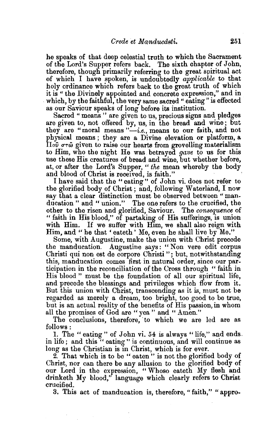he speaks of that deep celestial truth to which the Sacrament of the Lord's Supper refers back. The sixth chapter of John, therefore, though primarily referring to the great spiritual act of which I have spoken, is undoubtedly *applicable* to that holy ordinance which refers back to the great truth of which<br>it is "the Divinely appointed and concrete expression," and in which, by the faithful, the very same sacred " eating" is effected as our Saviour speaks of long before its institution.

Sacred " means" are given to us, precious signs and pledges are given to, not offered by, us, in the bread and wine; but they are "moral means *"-i.e.,* means to our faith, and not physical means; they are a Divine elevation or platform, a  $\Pi_{\sigma\sigma}$  or  $\hat{\omega}$  given to raise our hearts from grovelling materialism to Him, who the night He was. betrayed *gave* to us for this use these His creatures of bread and wine, but whether before, at, or after the Lord's Supper, " *the* mean whereby the body

I have said that the "eating" of John vi. does not refer to the glorified body of Christ ; and, following W aterland, I now say that a clear distinction must be observed between "manducation" and "union." The one refers to the crucified, the other to the risen and glorified, Saviour. The *consequence* of " faith in His blood," of partaking of His sufferings, is union with Him. If we suffer with Him, we shall also reign with Him, and " he that ' eateth ' Me, even he shall live by  $\mathbf{M}\mathbf{e}$ ."

Some, with Augustine, make the union with Christ precede the manducation. Augustine says: "Non vere edit corrus Christi qui non est de corpore Christi"; but, notwithstanding this, manducation comes first in natural order, since our participation in the reconciliation of the Cross through " faith in His blood " must be the foundation of all our spiritual life, and precede the blessings and privileges which flow from it. But this union with Christ, transcending as it is, must not be regarded as merely a dream, too bright, too good to be true, but is an actual reality of the benefits of His passion, in whom all the promises of God are "yea'' and "Amen."

The conclusions, therefore, 'to which we are led are as follows:

I. The "eating" of John vi. 54 is always "life," and ends. in life ; and this " eating" is continuous, and will continue as long as the Christian is in Christ, which is for ever.

2. That which is to be " eaten" is not the glorified body of Christ, nor can there be any allusion to the glorified body of our Lord in the expression, "Whoso eateth My flesh and drinketh My blood," language which clearly refers to Christ crucified.

3. This act of manducation is, therefore, "faith," "appro·